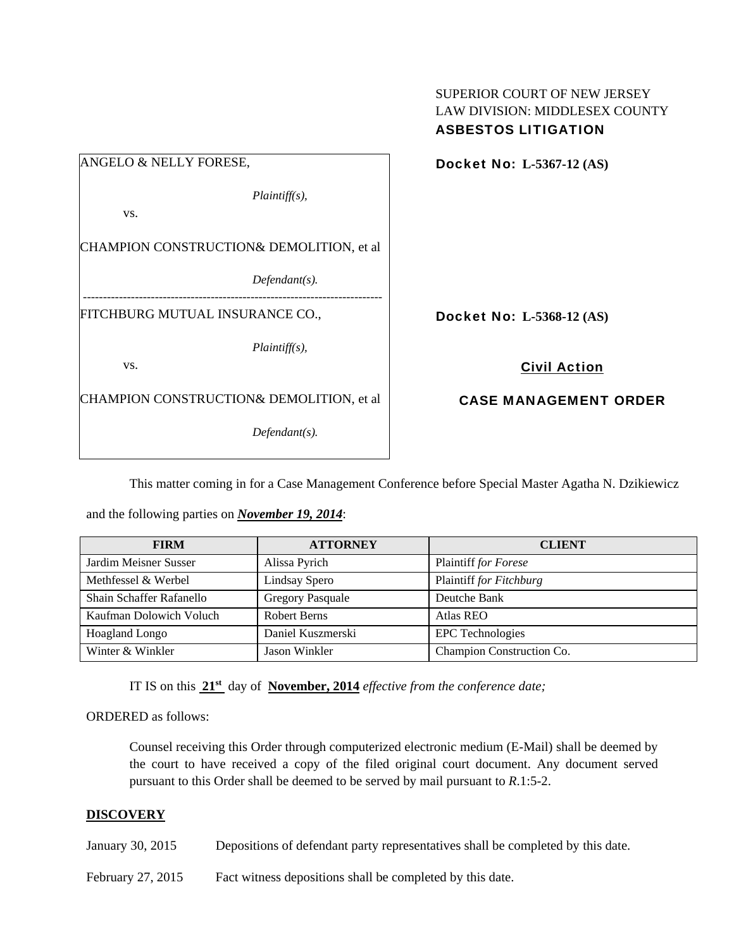|                                                            | <b>LAW DIVISION: MIDDLESEX COUNTY</b><br><b>ASBESTOS LITIGATION</b> |
|------------------------------------------------------------|---------------------------------------------------------------------|
| ANGELO & NELLY FORESE,                                     | Docket No: L-5367-12 (AS)                                           |
| $Plaintiff(s)$ ,<br>VS.                                    |                                                                     |
| CHAMPION CONSTRUCTION& DEMOLITION, et al                   |                                                                     |
| $Defendant(s)$ .<br>-------------------------------------- |                                                                     |
| FITCHBURG MUTUAL INSURANCE CO.,                            | Docket No: L-5368-12 (AS)                                           |
| $Plaintiff(s)$ ,                                           |                                                                     |
| VS.                                                        | <b>Civil Action</b>                                                 |
| CHAMPION CONSTRUCTION& DEMOLITION, et al                   | <b>CASE MANAGEMENT ORDER</b>                                        |
| $Defendant(s)$ .                                           |                                                                     |

This matter coming in for a Case Management Conference before Special Master Agatha N. Dzikiewicz

SUPERIOR COURT OF NEW JERSEY

and the following parties on *November 19, 2014*:

| <b>FIRM</b>              | <b>ATTORNEY</b>         | <b>CLIENT</b>             |
|--------------------------|-------------------------|---------------------------|
| Jardim Meisner Susser    | Alissa Pyrich           | Plaintiff for Forese      |
| Methfessel & Werbel      | Lindsay Spero           | Plaintiff for Fitchburg   |
| Shain Schaffer Rafanello | <b>Gregory Pasquale</b> | Deutche Bank              |
| Kaufman Dolowich Voluch  | Robert Berns            | <b>Atlas REO</b>          |
| <b>Hoagland Longo</b>    | Daniel Kuszmerski       | <b>EPC</b> Technologies   |
| Winter & Winkler         | Jason Winkler           | Champion Construction Co. |

IT IS on this **21st** day of **November, 2014** *effective from the conference date;*

ORDERED as follows:

Counsel receiving this Order through computerized electronic medium (E-Mail) shall be deemed by the court to have received a copy of the filed original court document. Any document served pursuant to this Order shall be deemed to be served by mail pursuant to *R*.1:5-2.

## **DISCOVERY**

- January 30, 2015 Depositions of defendant party representatives shall be completed by this date.
- February 27, 2015 Fact witness depositions shall be completed by this date.